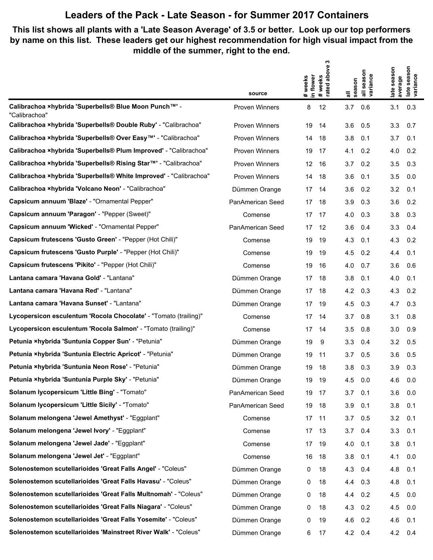## **Leaders of the Pack - Late Season - for Summer 2017 Containers**

## **This list shows all plants with a 'Late Season Average' of 3.5 or better. Look up our top performers by name on this list. These leaders get our highest recommendation for high visual impact from the middle of the summer, right to the end.**

|                                                                           |                       | ო                                                    | season<br>all seasor<br>variance | ٤<br>ate season<br>late seasc<br>variance |
|---------------------------------------------------------------------------|-----------------------|------------------------------------------------------|----------------------------------|-------------------------------------------|
|                                                                           |                       | above<br># weeks<br>in flower<br>#weeks<br>rated abo |                                  |                                           |
|                                                                           | source                |                                                      | all<br>season                    | average                                   |
| Calibrachoa ×hybrida 'Superbells® Blue Moon Punch™' -<br>"Calibrachoa"    | <b>Proven Winners</b> | 12<br>8                                              | 3.7<br>0.6                       | 3.1<br>0.3                                |
| Calibrachoa xhybrida 'Superbells® Double Ruby' - "Calibrachoa"            | <b>Proven Winners</b> | 19<br>14                                             | 0.5<br>3.6                       | 0.7<br>3.3                                |
| Calibrachoa ×hybrida 'Superbells® Over Easy <sup>™'</sup> - "Calibrachoa" | <b>Proven Winners</b> | 14<br>18                                             | 3.8<br>0.1                       | 3.7<br>0.1                                |
| Calibrachoa ×hybrida 'Superbells® Plum Improved' - "Calibrachoa"          | Proven Winners        | 19<br>-17                                            | 4.1<br>0.2                       | 0.2<br>4.0                                |
| Calibrachoa ×hybrida 'Superbells® Rising Star™' - "Calibrachoa"           | <b>Proven Winners</b> | 12<br>16                                             | 0.2<br>3.7                       | 3.5<br>0.3                                |
| Calibrachoa ×hybrida 'Superbells® White Improved' - "Calibrachoa"         | <b>Proven Winners</b> | -18<br>14                                            | 3.6<br>0.1                       | 3.5<br>0.0                                |
| Calibrachoa xhybrida 'Volcano Neon' - "Calibrachoa"                       | Dümmen Orange         | 17<br>-14                                            | 3.6<br>0.2                       | 3.2<br>0.1                                |
| Capsicum annuum 'Blaze' - "Ornamental Pepper"                             | PanAmerican Seed      | 17<br>-18                                            | 3.9<br>0.3                       | 3.6<br>0.2                                |
| Capsicum annuum 'Paragon' - "Pepper (Sweet)"                              | Comense               | 17<br>-17                                            | 4.0<br>0.3                       | 0.3<br>3.8                                |
| Capsicum annuum 'Wicked' - "Ornamental Pepper"                            | PanAmerican Seed      | -12<br>17                                            | 3.6<br>0.4                       | 0.4<br>3.3                                |
| Capsicum frutescens 'Gusto Green' - "Pepper (Hot Chili)"                  | Comense               | -19<br>19                                            | 4.3<br>0.1                       | 4.3<br>0.2                                |
| Capsicum frutescens 'Gusto Purple' - "Pepper (Hot Chili)"                 | Comense               | 19<br>-19                                            | 4.5<br>0.2                       | 4.4<br>0.1                                |
| Capsicum frutescens 'Pikito' - "Pepper (Hot Chili)"                       | Comense               | 16<br>19                                             | 4.0<br>0.7                       | 3.6<br>0.6                                |
| Lantana camara 'Havana Gold' - "Lantana"                                  | Dümmen Orange         | 17<br>-18                                            | 3.8<br>0.1                       | 4.0<br>0.1                                |
| Lantana camara 'Havana Red' - "Lantana"                                   | Dümmen Orange         | 18<br>17                                             | 4.2<br>0.3                       | 4.3<br>0.2                                |
| Lantana camara 'Havana Sunset' - "Lantana"                                | Dümmen Orange         | 17<br>-19                                            | 4.5<br>0.3                       | 4.7<br>0.3                                |
| Lycopersicon esculentum 'Rocola Chocolate' - "Tomato (trailing)"          | Comense               | 17<br>14                                             | 0.8<br>3.7                       | 3.1<br>0.8                                |
| Lycopersicon esculentum 'Rocola Salmon' - "Tomato (trailing)"             | Comense               | 17<br>-14                                            | 3.5<br>0.8                       | 0.9<br>3.0                                |
| Petunia ×hybrida 'Suntunia Copper Sun' - "Petunia"                        | Dümmen Orange         | 9<br>19                                              | 3.3<br>0.4                       | 3.2<br>0.5                                |
| Petunia ×hybrida 'Suntunia Electric Apricot' - "Petunia"                  | Dümmen Orange         | 19<br>- 11                                           | 3.7<br>0.5                       | 3.6<br>0.5                                |
| Petunia ×hybrida 'Suntunia Neon Rose' - "Petunia"                         | Dümmen Orange         | 18<br>19                                             | 3.8<br>0.3                       | 3.9<br>0.3                                |
| Petunia ×hybrida 'Suntunia Purple Sky' - "Petunia"                        | Dümmen Orange         | 19<br>19                                             | 4.5<br>0.0                       | 4.6<br>0.0                                |
| Solanum lycopersicum 'Little Bing' - "Tomato"                             | PanAmerican Seed      | 19<br>- 17                                           | 3.7<br>0.1                       | 3.6<br>0.0                                |
| Solanum lycopersicum 'Little Sicily' - "Tomato"                           | PanAmerican Seed      | 19<br>-18                                            | 3.9<br>0.1                       | 3.8<br>0.1                                |
| Solanum melongena 'Jewel Amethyst' - "Eggplant"                           | Comense               | 17<br>- 11                                           | $3.7\quad 0.5$                   | 3.2<br>0.1                                |
| Solanum melongena 'Jewel Ivory' - "Eggplant"                              | Comense               | 17<br>- 13                                           | 0.4<br>3.7                       | 3.3<br>0.1                                |
| Solanum melongena 'Jewel Jade' - "Eggplant"                               | Comense               | 17<br>- 19                                           | 4.0<br>0.1                       | 3.8<br>0.1                                |
| Solanum melongena 'Jewel Jet' - "Eggplant"                                | Comense               | 16<br>18                                             | 3.8<br>0.1                       | 4.1<br>0.0                                |
| Solenostemon scutellarioides 'Great Falls Angel' - "Coleus"               | Dümmen Orange         | 18<br>0                                              | 4.3 0.4                          | 4.8<br>0.1                                |
| Solenostemon scutellarioides 'Great Falls Havasu' - "Coleus"              | Dümmen Orange         | 18<br>0                                              | 4.4<br>0.3                       | 4.8<br>0.1                                |
| Solenostemon scutellarioides 'Great Falls Multnomah' - "Coleus"           | Dümmen Orange         | 18<br>0                                              | 4.4<br>0.2                       | 4.5<br>0.0                                |
| Solenostemon scutellarioides 'Great Falls Niagara' - "Coleus"             | Dümmen Orange         | 18<br>0                                              | 4.3<br>0.2                       | 4.5<br>0.0                                |
| Solenostemon scutellarioides 'Great Falls Yosemite' - "Coleus"            | Dümmen Orange         | 0<br>19                                              | 4.6<br>0.2                       | 4.6<br>0.1                                |
| Solenostemon scutellarioides 'Mainstreet River Walk' - "Coleus"           | Dümmen Orange         | 6<br>17                                              | 4.2 0.4                          | 4.2<br>0.4                                |